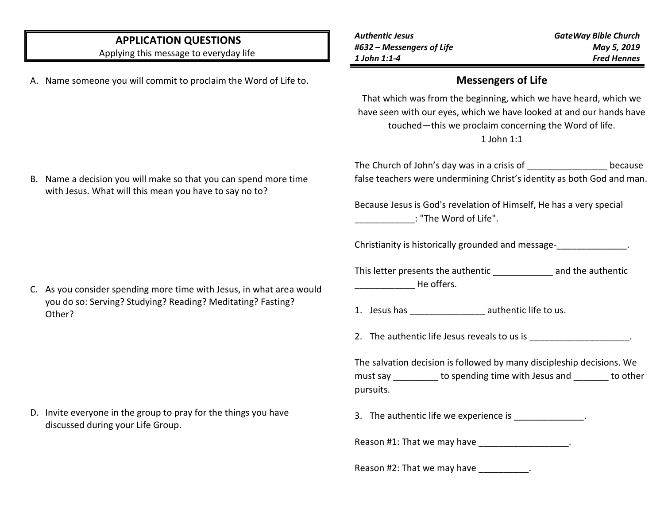## **APPLICATION QUESTIONS**

Applying this message to everyday life

A. Name someone you will commit to proclaim the Word of Life to.

*Authentic Jesus #632 – Messengers of Life 1 John 1:1-4*

#### **Messengers of Life**

That which was from the beginning, which we have heard, which we have seen with our eyes, which we have looked at and our hands have touched—this we proclaim concerning the Word of life. 1 John 1:1

The Church of John's day was in a crisis of because false teachers were undermining Christ's identity as both God and man.

Because Jesus is God's revelation of Himself, He has a very special  $\,$  : "The Word of Life".

Christianity is historically grounded and message-

This letter presents the authentic and the authentic \_\_\_\_\_\_\_\_\_\_\_\_ He offers.

1. Jesus has  $\qquad \qquad \text{authoric life to us.}$ 

2. The authentic life Jesus reveals to us is  $\blacksquare$ 

The salvation decision is followed by many discipleship decisions. We must say \_\_\_\_\_\_\_\_\_ to spending time with Jesus and \_\_\_\_\_\_\_ to other pursuits.

3. The authentic life we experience is \_\_\_\_\_\_\_\_\_\_\_\_\_\_.

Reason #1: That we may have **Example 20** and the Reason #1:

Reason #2: That we may have \_\_\_\_\_\_\_\_\_\_.

C. As you consider spending more time with Jesus, in what area would you do so: Serving? Studying? Reading? Meditating? Fasting? Other?

D. Invite everyone in the group to pray for the things you have discussed during your Life Group.

B. Name a decision you will make so that you can spend more time with Jesus. What will this mean you have to say no to?

*GateWay Bible Church May 5, 2019 Fred Hennes*